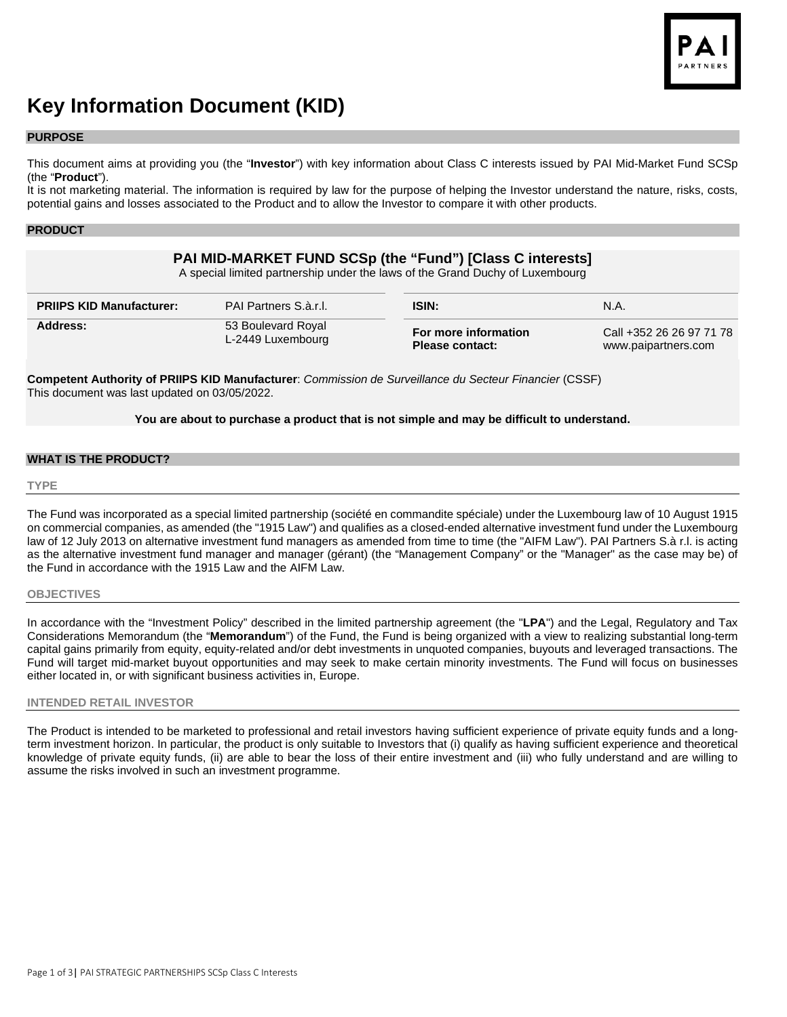

# **Key Information Document (KID)**

#### **PURPOSE**

This document aims at providing you (the "**Investor**") with key information about Class C interests issued by PAI Mid-Market Fund SCSp (the "**Product**").

It is not marketing material. The information is required by law for the purpose of helping the Investor understand the nature, risks, costs, potential gains and losses associated to the Product and to allow the Investor to compare it with other products.

## **PRODUCT**

# **PAI MID-MARKET FUND SCSp (the "Fund") [Class C interests]**

A special limited partnership under the laws of the Grand Duchy of Luxembourg

| <b>PRIIPS KID Manufacturer:</b> | <b>PAI Partners S.à.r.I.</b> | <b>ISIN</b> :          | N.A.                     |
|---------------------------------|------------------------------|------------------------|--------------------------|
| Address:                        | 53 Boulevard Royal           | For more information   | Call +352 26 26 97 71 78 |
|                                 | L-2449 Luxembourg            | <b>Please contact:</b> | www.paipartners.com      |

**Competent Authority of PRIIPS KID Manufacturer**: *Commission de Surveillance du Secteur Financier* (CSSF) This document was last updated on 03/05/2022.

## **You are about to purchase a product that is not simple and may be difficult to understand.**

## **WHAT IS THE PRODUCT?**

#### **TYPE**

The Fund was incorporated as a special limited partnership (société en commandite spéciale) under the Luxembourg law of 10 August 1915 on commercial companies, as amended (the "1915 Law") and qualifies as a closed-ended alternative investment fund under the Luxembourg law of 12 July 2013 on alternative investment fund managers as amended from time to time (the "AIFM Law"). PAI Partners S.à r.l. is acting as the alternative investment fund manager and manager (gérant) (the "Management Company" or the "Manager" as the case may be) of the Fund in accordance with the 1915 Law and the AIFM Law.

#### **OBJECTIVES**

In accordance with the "Investment Policy" described in the limited partnership agreement (the "**LPA**") and the Legal, Regulatory and Tax Considerations Memorandum (the "**Memorandum**") of the Fund, the Fund is being organized with a view to realizing substantial long-term capital gains primarily from equity, equity-related and/or debt investments in unquoted companies, buyouts and leveraged transactions. The Fund will target mid-market buyout opportunities and may seek to make certain minority investments. The Fund will focus on businesses either located in, or with significant business activities in, Europe.

## **INTENDED RETAIL INVESTOR**

The Product is intended to be marketed to professional and retail investors having sufficient experience of private equity funds and a longterm investment horizon. In particular, the product is only suitable to Investors that (i) qualify as having sufficient experience and theoretical knowledge of private equity funds, (ii) are able to bear the loss of their entire investment and (iii) who fully understand and are willing to assume the risks involved in such an investment programme.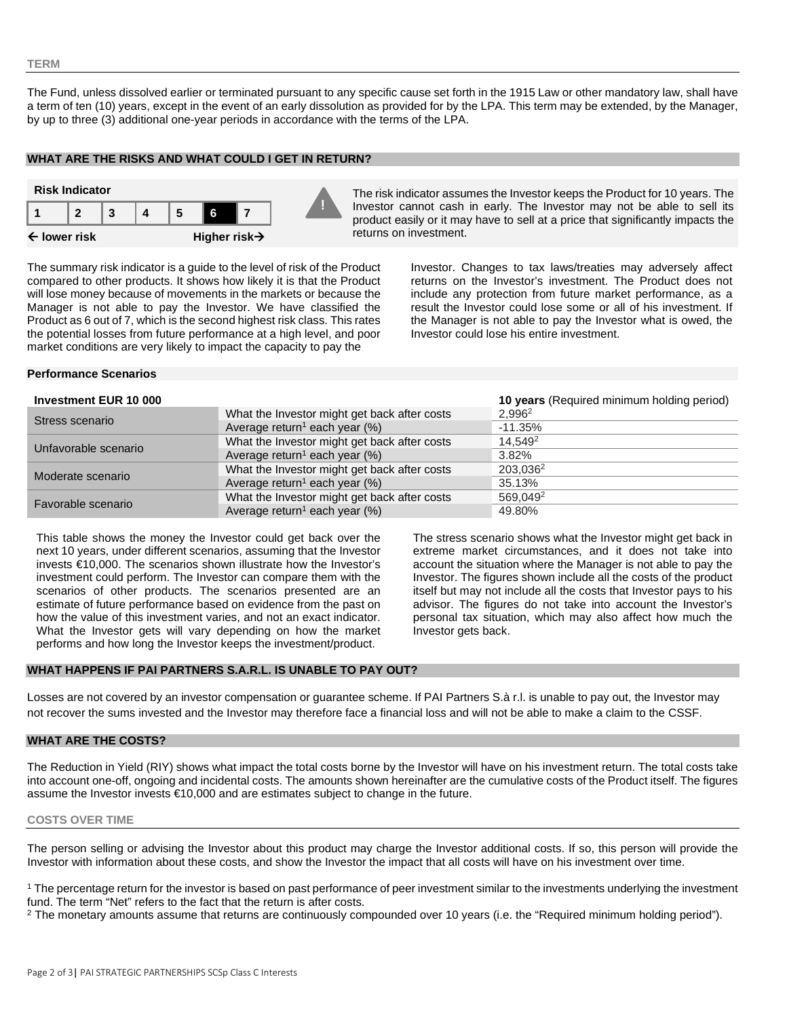#### **TERM**

The Fund, unless dissolved earlier or terminated pursuant to any specific cause set forth in the 1915 Law or other mandatory law, shall have a term of ten (10) years, except in the event of an early dissolution as provided for by the LPA. This term may be extended, by the Manager, by up to three (3) additional one-year periods in accordance with the terms of the LPA.

#### **WHAT ARE THE RISKS AND WHAT COULD I GET IN RETURN?**



Investor cannot cash in early. The Investor may not be able to sell its product easily or it may have to sell at a price that significantly impacts the returns on investment.

The summary risk indicator is a guide to the level of risk of the Product compared to other products. It shows how likely it is that the Product will lose money because of movements in the markets or because the Manager is not able to pay the Investor. We have classified the Product as 6 out of 7, which is the second highest risk class. This rates the potential losses from future performance at a high level, and poor market conditions are very likely to impact the capacity to pay the

Investor. Changes to tax laws/treaties may adversely affect returns on the Investor's investment. The Product does not include any protection from future market performance, as a result the Investor could lose some or all of his investment. If the Manager is not able to pay the Investor what is owed, the Investor could lose his entire investment.

#### **Performance Scenarios**

#### **Investment EUR 10 000 10 years** (Required minimum holding period)

| <b>THESPHISH FOR THE BUY</b> |                                              | <b>10 years</b> the quited from influent ribiding period) |
|------------------------------|----------------------------------------------|-----------------------------------------------------------|
| Stress scenario              | What the Investor might get back after costs | $2.996^2$                                                 |
|                              | Average return <sup>1</sup> each year $(\%)$ | $-11.35%$                                                 |
| Unfavorable scenario         | What the Investor might get back after costs | 14.549 <sup>2</sup>                                       |
|                              | Average return <sup>1</sup> each year $(\%)$ | 3.82%                                                     |
| Moderate scenario            | What the Investor might get back after costs | 203,036 <sup>2</sup>                                      |
|                              | Average return <sup>1</sup> each year $(\%)$ | 35.13%                                                    |
| Favorable scenario           | What the Investor might get back after costs | 569.049 <sup>2</sup>                                      |
|                              | Average return <sup>1</sup> each year $(\%)$ | 49.80%                                                    |

This table shows the money the Investor could get back over the next 10 years, under different scenarios, assuming that the Investor invests €10,000. The scenarios shown illustrate how the Investor's investment could perform. The Investor can compare them with the scenarios of other products. The scenarios presented are an estimate of future performance based on evidence from the past on how the value of this investment varies, and not an exact indicator. What the Investor gets will vary depending on how the market performs and how long the Investor keeps the investment/product.

The stress scenario shows what the Investor might get back in extreme market circumstances, and it does not take into account the situation where the Manager is not able to pay the Investor. The figures shown include all the costs of the product itself but may not include all the costs that Investor pays to his advisor. The figures do not take into account the Investor's personal tax situation, which may also affect how much the Investor gets back.

## **WHAT HAPPENS IF PAI PARTNERS S.A.R.L. IS UNABLE TO PAY OUT?**

Losses are not covered by an investor compensation or guarantee scheme. If PAI Partners S.à r.l. is unable to pay out, the Investor may not recover the sums invested and the Investor may therefore face a financial loss and will not be able to make a claim to the CSSF.

## **WHAT ARE THE COSTS?**

The Reduction in Yield (RIY) shows what impact the total costs borne by the Investor will have on his investment return. The total costs take into account one-off, ongoing and incidental costs. The amounts shown hereinafter are the cumulative costs of the Product itself. The figures assume the Investor invests €10,000 and are estimates subject to change in the future.

#### **COSTS OVER TIME**

The person selling or advising the Investor about this product may charge the Investor additional costs. If so, this person will provide the Investor with information about these costs, and show the Investor the impact that all costs will have on his investment over time.

<sup>1</sup> The percentage return for the investor is based on past performance of peer investment similar to the investments underlying the investment fund. The term "Net" refers to the fact that the return is after costs.

<sup>2</sup> The monetary amounts assume that returns are continuously compounded over 10 years (i.e. the "Required minimum holding period").